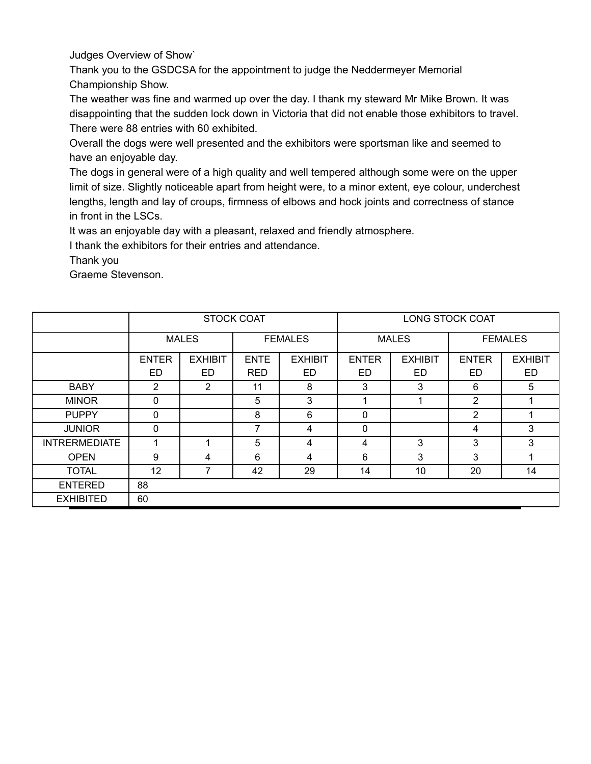Judges Overview of Show`

Thank you to the GSDCSA for the appointment to judge the Neddermeyer Memorial Championship Show.

The weather was fine and warmed up over the day. I thank my steward Mr Mike Brown. It was disappointing that the sudden lock down in Victoria that did not enable those exhibitors to travel. There were 88 entries with 60 exhibited.

Overall the dogs were well presented and the exhibitors were sportsman like and seemed to have an enjoyable day.

The dogs in general were of a high quality and well tempered although some were on the upper limit of size. Slightly noticeable apart from height were, to a minor extent, eye colour, underchest lengths, length and lay of croups, firmness of elbows and hock joints and correctness of stance in front in the LSCs.

It was an enjoyable day with a pleasant, relaxed and friendly atmosphere.

I thank the exhibitors for their entries and attendance.

Thank you

Graeme Stevenson.

|                      | <b>STOCK COAT</b> |                |             | <b>LONG STOCK COAT</b> |              |                |                |                |
|----------------------|-------------------|----------------|-------------|------------------------|--------------|----------------|----------------|----------------|
|                      |                   | <b>MALES</b>   |             | <b>FEMALES</b>         |              | <b>MALES</b>   |                | <b>FEMALES</b> |
|                      | <b>ENTER</b>      | <b>EXHIBIT</b> | <b>ENTE</b> | <b>EXHIBIT</b>         | <b>ENTER</b> | <b>EXHIBIT</b> | <b>ENTER</b>   | <b>EXHIBIT</b> |
|                      | ED                | ED             | <b>RED</b>  | ED                     | ED.          | ED             | ED             | ED             |
| <b>BABY</b>          | 2                 | 2              | 11          | 8                      | 3            | 3              | 6              | 5              |
| <b>MINOR</b>         | 0                 |                | 5           | 3                      |              |                | 2              |                |
| <b>PUPPY</b>         | 0                 |                | 8           | 6                      | 0            |                | $\overline{2}$ |                |
| <b>JUNIOR</b>        | $\mathbf{0}$      |                | 7           | 4                      | $\Omega$     |                | 4              | 3              |
| <b>INTRERMEDIATE</b> |                   |                | 5           | 4                      | 4            | 3              | 3              | 3              |
| <b>OPEN</b>          | 9                 | 4              | 6           | 4                      | 6            | 3              | 3              |                |
| <b>TOTAL</b>         | 12                | 7              | 42          | 29                     | 14           | 10             | 20             | 14             |
| <b>ENTERED</b>       | 88                |                |             |                        |              |                |                |                |
| <b>EXHIBITED</b>     | 60                |                |             |                        |              |                |                |                |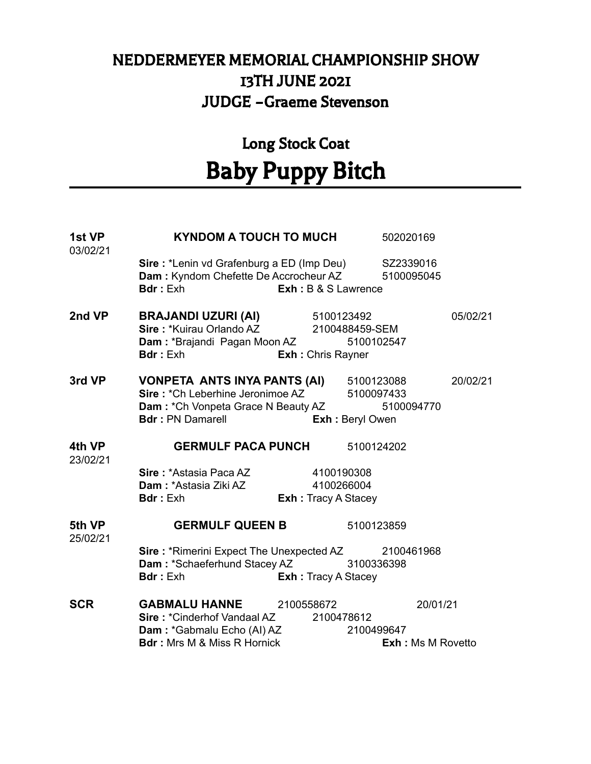### NEDDERMEYER MEMORIAL CHAMPIONSHIP SHOW 13TH JUNE 2021 JUDGE –Graeme Stevenson

## Long Stock Coat Baby Puppy Bitch

| <b>1st VP</b><br>03/02/21 | KYNDOM A TOUCH TO MUCH                                                                                                                                                                           |                                          |            | 502020169                            |          |
|---------------------------|--------------------------------------------------------------------------------------------------------------------------------------------------------------------------------------------------|------------------------------------------|------------|--------------------------------------|----------|
|                           | Sire: *Lenin vd Grafenburg a ED (Imp Deu) SZ2339016<br>Dam: Kyndom Chefette De Accrocheur AZ 5100095045<br><b>Bdr</b> : Exh                                                                      | Exh : B & S Lawrence                     |            |                                      |          |
| <b>2nd VP</b>             | <b>BRAJANDI UZURI (AI)</b> 5100123492<br>Sire: *Kuirau Orlando AZ 2100488459-SEM<br>Dam: *Brajandi Pagan Moon AZ 5100102547<br><b>Bdr</b> : Exh                                                  | <b>Exh:</b> Chris Rayner                 |            |                                      | 05/02/21 |
| 3rd VP                    | <b>VONPETA ANTS INYA PANTS (AI)</b> 5100123088<br>Sire: *Ch Leberhine Jeronimoe AZ 5100097433<br>Dam: *Ch Vonpeta Grace N Beauty AZ 5100094770<br><b>Bdr:</b> PN Damarell <b>Exh:</b> Beryl Owen |                                          |            |                                      | 20/02/21 |
| 4th VP<br>23/02/21        | <b>GERMULF PACA PUNCH</b> 5100124202                                                                                                                                                             |                                          |            |                                      |          |
|                           | Sire: *Astasia Paca AZ 4100190308<br><b>Dam: *Astasia Ziki AZ</b><br><b>Bdr</b> : Exh                                                                                                            | 4100266004<br><b>Exh:</b> Tracy A Stacey |            |                                      |          |
| 5th VP<br>25/02/21        | <b>GERMULF QUEEN B</b>                                                                                                                                                                           |                                          | 5100123859 |                                      |          |
|                           | Sire: *Rimerini Expect The Unexpected AZ 2100461968<br>Dam: *Schaeferhund Stacey AZ 3100336398<br><b>Bdr</b> : Exh                                                                               | <b>Exh:</b> Tracy A Stacey               |            |                                      |          |
| <b>SCR</b>                | <b>GABMALU HANNE</b> 2100558672<br>Sire: *Cinderhof Vandaal AZ 2100478612<br>Dam: *Gabmalu Echo (AI) AZ 2100499647<br><b>Bdr</b> : Mrs M & Miss R Hornick                                        |                                          |            | 20/01/21<br><b>Exh: Ms M Rovetto</b> |          |
|                           |                                                                                                                                                                                                  |                                          |            |                                      |          |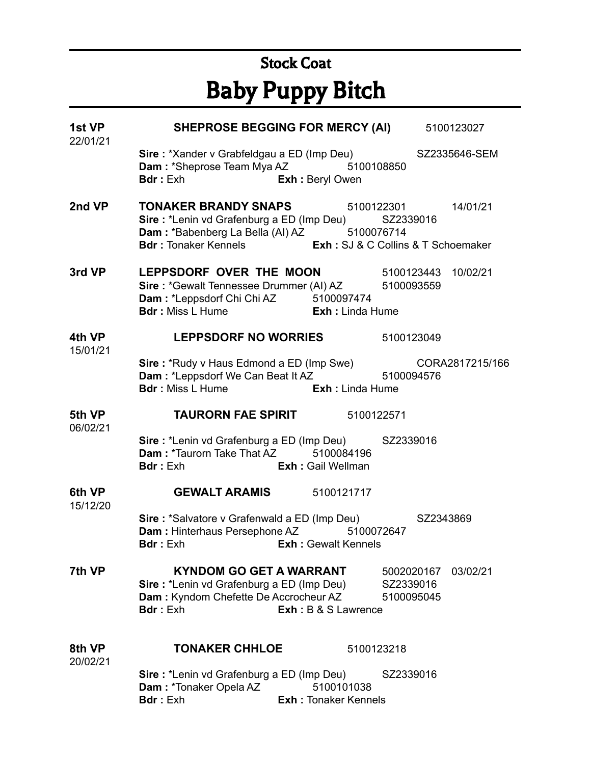# Stock Coat Baby Puppy Bitch

| 1st VP<br>22/01/21 | SHEPROSE BEGGING FOR MERCY (AI) 5100123027                                                                                                                                                                              |                                           |                                       |          |
|--------------------|-------------------------------------------------------------------------------------------------------------------------------------------------------------------------------------------------------------------------|-------------------------------------------|---------------------------------------|----------|
|                    | Sire: *Xander v Grabfeldgau a ED (Imp Deu) SZ2335646-SEM<br><b>Dam: *Sheprose Team Mya AZ</b> 5100108850<br><b>Bdr</b> : Exh                                                                                            | Exh : Beryl Owen                          |                                       |          |
| 2nd VP             | <b>TONAKER BRANDY SNAPS</b> 5100122301 14/01/21<br>Sire: *Lenin vd Grafenburg a ED (Imp Deu) SZ2339016<br>Dam: *Babenberg La Bella (AI) AZ 5100076714<br>Bdr: Tonaker Kennels <b>Exh:</b> SJ & C Collins & T Schoemaker |                                           |                                       |          |
| 3rd VP             | LEPPSDORF OVER THE MOON 5100123443 10/02/21<br>Sire: *Gewalt Tennessee Drummer (AI) AZ 5100093559<br>Dam: *Leppsdorf Chi Chi AZ 5100097474<br><b>Bdr</b> : Miss L Hume <b>Exh</b> : Linda Hume                          |                                           |                                       |          |
| 4th VP<br>15/01/21 | LEPPSDORF NO WORRIES 5100123049                                                                                                                                                                                         |                                           |                                       |          |
|                    | Sire: *Rudy v Haus Edmond a ED (Imp Swe) CORA2817215/166<br>Dam: *Leppsdorf We Can Beat It AZ 5100094576<br><b>Bdr</b> : Miss L Hume <b>Exh:</b> Linda Hume                                                             |                                           |                                       |          |
| 06/02/21           | 5th VP <b>TAURORN FAE SPIRIT</b> 5100122571                                                                                                                                                                             |                                           |                                       |          |
|                    | Sire: *Lenin vd Grafenburg a ED (Imp Deu) SZ2339016<br>Dam: *Taurorn Take That AZ 5100084196<br><b>Bdr:</b> Exh <b>Exh:</b> Gail Wellman                                                                                |                                           |                                       |          |
| 6th VP<br>15/12/20 | <b>GEWALT ARAMIS</b> 5100121717                                                                                                                                                                                         |                                           |                                       |          |
|                    | Sire: *Salvatore v Grafenwald a ED (Imp Deu) SZ2343869<br>Dam: Hinterhaus Persephone AZ 5100072647<br><b>Bdr</b> : Exh                                                                                                  | <b>Exh: Gewalt Kennels</b>                |                                       |          |
| 7th VP             | <b>KYNDOM GO GET A WARRANT</b><br>Sire: *Lenin vd Grafenburg a ED (Imp Deu)<br>Dam: Kyndom Chefette De Accrocheur AZ<br><b>Bdr:</b> Exh                                                                                 | <b>Exh: B &amp; S Lawrence</b>            | 5002020167<br>SZ2339016<br>5100095045 | 03/02/21 |
| 8th VP<br>20/02/21 | <b>TONAKER CHHLOE</b>                                                                                                                                                                                                   | 5100123218                                |                                       |          |
|                    | Sire: *Lenin vd Grafenburg a ED (Imp Deu)<br>Dam: *Tonaker Opela AZ<br><b>Bdr:</b> Exh                                                                                                                                  | 5100101038<br><b>Exh: Tonaker Kennels</b> | SZ2339016                             |          |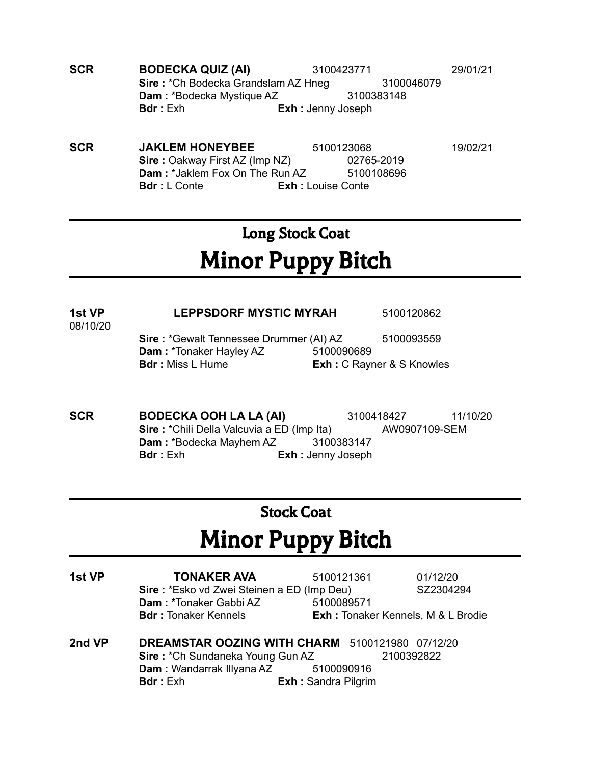- **SCR BODECKA QUIZ (AI)** 3100423771 29/01/21 **Sire** : \*Ch Bodecka Grandslam AZ Hneg 3100046079 **Dam** : \*Bodecka Mystique AZ 3100383148 **Bdr :** Exh **Exh :** Jenny Joseph
- **SCR 3DAKLEM HONEYBEE** 5100123068 19/02/21 **Sire :** Oakway First AZ (Imp NZ) 02765-2019 **Dam** : \*Jaklem Fox On The Run AZ 5100108696 **Bdr :** L Conte **Exh :** Louise Conte

## Long Stock Coat Minor Puppy Bitch

### **1st VP LEPPSDORF MYSTIC MYRAH** 5100120862

08/10/20

**Sire** : \*Gewalt Tennessee Drummer (AI) AZ 5100093559 **Dam** : \*Tonaker Hayley AZ 5100090689 **Bdr :** Miss L Hume **Exh :** C Rayner & S Knowles

**SCR BODECKA OOH LA LA (AI)** 3100418427 11/10/20 **Sire** : \*Chili Della Valcuvia a ED (Imp Ita) AW0907109-SEM **Dam :** \*Bodecka Mayhem AZ 3100383147 **Bdr :** Exh **Exh :** Jenny Joseph

### Stock Coat

# Minor Puppy Bitch

| 1st VP | <b>TONAKER AVA</b>                              | 5100121361                 | 01/12/20                                  |
|--------|-------------------------------------------------|----------------------------|-------------------------------------------|
|        | Sire: *Esko vd Zwei Steinen a ED (Imp Deu)      |                            | SZ2304294                                 |
|        | Dam: *Tonaker Gabbi AZ                          | 5100089571                 |                                           |
|        | <b>Bdr: Tonaker Kennels</b>                     |                            | <b>Exh:</b> Tonaker Kennels, M & L Brodie |
| 2nd VP | DREAMSTAR OOZING WITH CHARM 5100121980 07/12/20 |                            |                                           |
|        | Sire: *Ch Sundaneka Young Gun AZ                |                            | 2100392822                                |
|        | Dam: Wandarrak Illyana AZ 5100090916            |                            |                                           |
|        | <b>Bdr</b> : Exh                                | <b>Exh: Sandra Pilgrim</b> |                                           |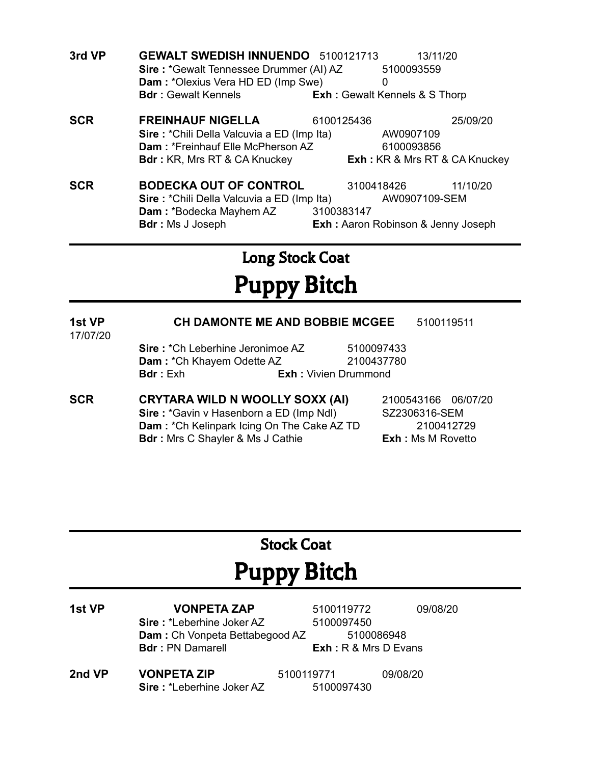| <b>Sire: *Gewalt Tennessee Drummer (AI) AZ</b><br>Dam: *Olexius Vera HD ED (Imp Swe)<br>0<br><b>Bdr: Gewalt Kennels</b><br><b>Exh:</b> Gewalt Kennels & S Thorp |  |
|-----------------------------------------------------------------------------------------------------------------------------------------------------------------|--|
|                                                                                                                                                                 |  |
|                                                                                                                                                                 |  |
| <b>SCR</b><br><b>FREINHAUF NIGELLA</b><br>6100125436<br>25/09/20                                                                                                |  |
| Sire: *Chili Della Valcuvia a ED (Imp Ita)<br>AW0907109                                                                                                         |  |
| Dam: *Freinhauf Elle McPherson AZ<br>6100093856                                                                                                                 |  |
| <b>Exh:</b> KR & Mrs RT & CA Knuckey<br><b>Bdr:</b> KR, Mrs RT & CA Knuckey                                                                                     |  |
| <b>SCR</b><br><b>BODECKA OUT OF CONTROL</b><br>3100418426<br>11/10/20                                                                                           |  |
|                                                                                                                                                                 |  |
| Sire: *Chili Della Valcuvia a ED (Imp Ita)<br>AW0907109-SEM                                                                                                     |  |
| <b>Dam: *Bodecka Mayhem AZ</b><br>3100383147                                                                                                                    |  |

## Long Stock Coat Puppy Bitch

#### **1st VP CH DAMONTE ME AND BOBBIE MCGEE** 5100119511 17/07/20

**Sire** : \*Ch Leberhine Jeronimoe AZ 5100097433 **Dam** : \*Ch Khayem Odette AZ 2100437780 **Bdr :** Exh **Exh :** Vivien Drummond

**SCR CRYTARA WILD N WOOLLY SOXX (AI)** 2100543166 06/07/20 **Sire** : \*Gavin v Hasenborn a ED (Imp Ndl) SZ2306316-SEM **Dam** : \*Ch Kelinpark Icing On The Cake AZ TD 2100412729 **Bdr :** Mrs C Shayler & Ms J Cathie **Exh :** Ms M Rovetto

### Stock Coat

# Puppy Bitch

- **1st VP VONPETA ZAP** 5100119772 09/08/20 **Sire** : \*Leberhine Joker AZ 5100097450 **Dam** : Ch Vonpeta Bettabegood AZ 5100086948 **Bdr :** PN Damarell **Exh :** R & Mrs D Evans
- **2nd VP VONPETA ZIP** 5100119771 09/08/20 **Sire :** \*Leberhine Joker AZ 5100097430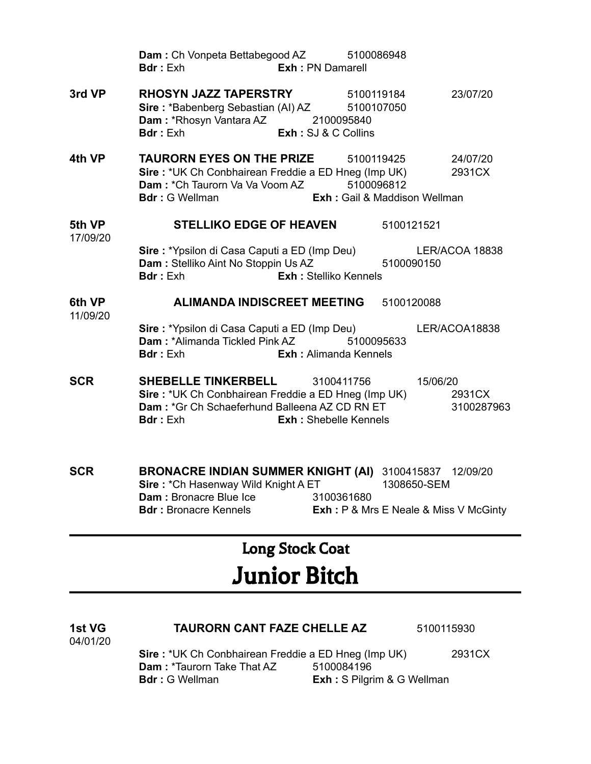|                    | Dam: Ch Vonpeta Bettabegood AZ 5100086948<br><b>Exh: PN Damarell</b><br><b>Bdr</b> : Exh                                                                                                                         |                                             |                          |                      |
|--------------------|------------------------------------------------------------------------------------------------------------------------------------------------------------------------------------------------------------------|---------------------------------------------|--------------------------|----------------------|
| 3rd VP             | <b>RHOSYN JAZZ TAPERSTRY</b> 5100119184<br>Sire: *Babenberg Sebastian (AI) AZ 5100107050<br>Dam: *Rhosyn Vantara AZ 2100095840<br><b>Bdr:</b> Exh <b>Exh:</b> SJ & C Collins                                     |                                             |                          | 23/07/20             |
| 4th VP             | <b>TAURORN EYES ON THE PRIZE</b><br>Sire: *UK Ch Conbhairean Freddie a ED Hneg (Imp UK)<br><b>Dam:</b> *Ch Taurorn Va Va Voom AZ 5100096812<br><b>Bdr</b> : G Wellman                                            | 5100119425<br>Exh : Gail & Maddison Wellman |                          | 24/07/20<br>2931CX   |
| 5th VP<br>17/09/20 | <b>STELLIKO EDGE OF HEAVEN</b><br>Sire : *Ypsilon di Casa Caputi a ED (Imp Deu)<br>Dam : Stelliko Aint No Stoppin Us AZ<br><b>Bdr</b> : Exh                                                                      | <b>Exh: Stelliko Kennels</b>                | 5100121521<br>5100090150 | LER/ACOA 18838       |
| 6th VP<br>11/09/20 | ALIMANDA INDISCREET MEETING<br>Sire: *Ypsilon di Casa Caputi a ED (Imp Deu)<br><b>Dam: *Alimanda Tickled Pink AZ</b><br><b>Bdr</b> : Exh                                                                         | 5100095633<br><b>Exh:</b> Alimanda Kennels  | 5100120088               | LER/ACOA18838        |
| SCR                | <b>SHEBELLE TINKERBELL</b><br>Sire: *UK Ch Conbhairean Freddie a ED Hneg (Imp UK)<br>Dam: *Gr Ch Schaeferhund Balleena AZ CD RN ET<br><b>Bdr</b> : Exh<br><b>Exh:</b> Shebelle Kennels                           | 3100411756                                  | 15/06/20                 | 2931CX<br>3100287963 |
| SCR                | BRONACRE INDIAN SUMMER KNIGHT (AI) 3100415837 12/09/20<br>Sire: *Ch Hasenway Wild Knight A ET<br>Dam: Bronacre Blue Ice 3100361680<br><b>Bdr: Bronacre Kennels Exh: P &amp; Mrs E Neale &amp; Miss V McGinty</b> |                                             | 1308650-SEM              |                      |

## Long Stock Coat

# Junior Bitch

| <b>1st VG</b> | <b>TAURORN CANT FAZE CHELLE AZ</b>                         |            | 5100115930 |
|---------------|------------------------------------------------------------|------------|------------|
| 04/01/20      |                                                            |            |            |
|               | <b>Sire: *UK Ch Conbhairean Freddie a ED Hneg (Imp UK)</b> |            | 2931CX     |
|               | <b>Dam: *Taurorn Take That AZ</b>                          | 5100084196 |            |

**Bdr :** G Wellman **Exh :** S Pilgrim & G Wellman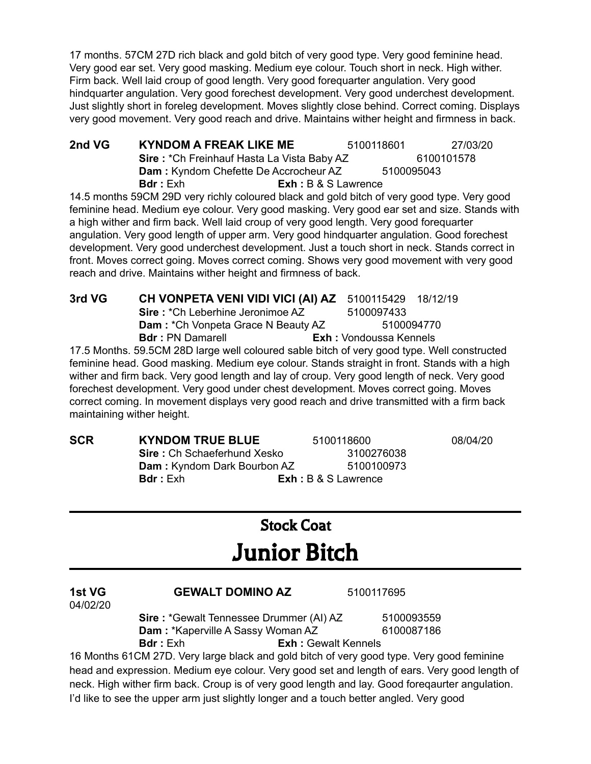17 months. 57CM 27D rich black and gold bitch of very good type. Very good feminine head. Very good ear set. Very good masking. Medium eye colour. Touch short in neck. High wither. Firm back. Well laid croup of good length. Very good forequarter angulation. Very good hindquarter angulation. Very good forechest development. Very good underchest development. Just slightly short in foreleg development. Moves slightly close behind. Correct coming. Displays very good movement. Very good reach and drive. Maintains wither height and firmness in back.

**2nd VG KYNDOM A FREAK LIKE ME** 5100118601 27/03/20 **Sire** : \*Ch Freinhauf Hasta La Vista Baby AZ 6100101578 **Dam** : Kyndom Chefette De Accrocheur AZ 5100095043 **Bdr :** Exh **Exh :** B & S Lawrence

14.5 months 59CM 29D very richly coloured black and gold bitch of very good type. Very good feminine head. Medium eye colour. Very good masking. Very good ear set and size. Stands with a high wither and firm back. Well laid croup of very good length. Very good forequarter angulation. Very good length of upper arm. Very good hindquarter angulation. Good forechest development. Very good underchest development. Just a touch short in neck. Stands correct in front. Moves correct going. Moves correct coming. Shows very good movement with very good reach and drive. Maintains wither height and firmness of back.

| 3rd VG | <b>CH VONPETA VENI VIDI VICI (AI) AZ</b> 5100115429 18/12/19                                 |                               |            |  |
|--------|----------------------------------------------------------------------------------------------|-------------------------------|------------|--|
|        | <b>Sire: *Ch Leberhine Jeronimoe AZ</b>                                                      | 5100097433                    |            |  |
|        | Dam: *Ch Vonpeta Grace N Beauty AZ                                                           |                               | 5100094770 |  |
|        | <b>Bdr</b> : PN Damarell                                                                     | <b>Exh: Vondoussa Kennels</b> |            |  |
|        | 17.5 Months. 59.5CM 28D large well coloured sable bitch of very good type. Well constructed  |                               |            |  |
|        | feminine head. Good masking. Medium eye colour. Stands straight in front. Stands with a high |                               |            |  |

feminine head. Good masking. Medium eye colour. Stands straight in front. Stands with a high wither and firm back. Very good length and lay of croup. Very good length of neck. Very good forechest development. Very good under chest development. Moves correct going. Moves correct coming. In movement displays very good reach and drive transmitted with a firm back maintaining wither height.

| <b>SCR</b> | <b>KYNDOM TRUE BLUE</b>            | 5100118600            | 08/04/20 |
|------------|------------------------------------|-----------------------|----------|
|            | <b>Sire:</b> Ch Schaeferhund Xesko | 3100276038            |          |
|            | Dam: Kyndom Dark Bourbon AZ        | 5100100973            |          |
|            | <b>Bdr</b> : Exh                   | $Exh: B & S$ Lawrence |          |

## Stock Coat Junior Bitch

| 1st VG<br>04/02/20 | <b>GEWALT DOMINO AZ</b>                                                                         | 5100117695 |
|--------------------|-------------------------------------------------------------------------------------------------|------------|
|                    | <b>Sire: *Gewalt Tennessee Drummer (AI) AZ</b>                                                  | 5100093559 |
|                    | Dam: *Kaperville A Sassy Woman AZ                                                               | 6100087186 |
|                    | <b>Bdr</b> : Exh<br><b>Exh: Gewalt Kennels</b>                                                  |            |
|                    | 16 Months 61CM 27D. Very large black and gold bitch of very good type. Very good feminine       |            |
|                    | head and expression. Medium eye colour. Very good set and length of ears. Very good length of   |            |
|                    | neck. High wither firm back. Croup is of very good length and lay. Good foregaurter angulation. |            |

I'd like to see the upper arm just slightly longer and a touch better angled. Very good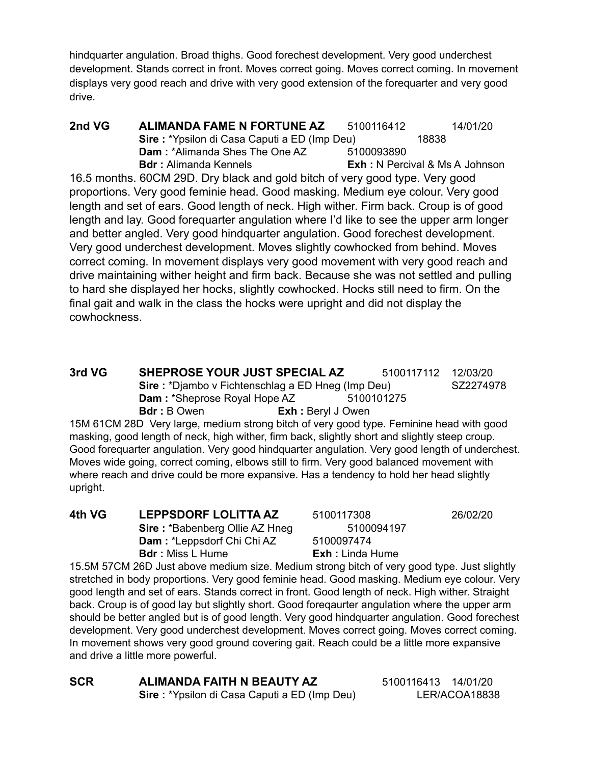hindquarter angulation. Broad thighs. Good forechest development. Very good underchest development. Stands correct in front. Moves correct going. Moves correct coming. In movement displays very good reach and drive with very good extension of the forequarter and very good drive.

**2nd VG ALIMANDA FAME N FORTUNE AZ** 5100116412 14/01/20 **Sire** : \*Ypsilon di Casa Caputi a ED (Imp Deu) 18838 **Dam:** \*Alimanda Shes The One AZ 5100093890 **Bdr :** Alimanda Kennels **Exh :** N Percival & Ms A Johnson

16.5 months. 60CM 29D. Dry black and gold bitch of very good type. Very good proportions. Very good feminie head. Good masking. Medium eye colour. Very good length and set of ears. Good length of neck. High wither. Firm back. Croup is of good length and lay. Good forequarter angulation where I'd like to see the upper arm longer and better angled. Very good hindquarter angulation. Good forechest development. Very good underchest development. Moves slightly cowhocked from behind. Moves correct coming. In movement displays very good movement with very good reach and drive maintaining wither height and firm back. Because she was not settled and pulling to hard she displayed her hocks, slightly cowhocked. Hocks still need to firm. On the final gait and walk in the class the hocks were upright and did not display the cowhockness.

**3rd VG SHEPROSE YOUR JUST SPECIAL AZ** 5100117112 12/03/20 **Sire** : \*Djambo v Fichtenschlag a ED Hneg (Imp Deu) SZ2274978 **Dam** : \*Sheprose Royal Hope AZ 5100101275 **Bdr :** B Owen **Exh :** Beryl J Owen

15M 61CM 28D Very large, medium strong bitch of very good type. Feminine head with good masking, good length of neck, high wither, firm back, slightly short and slightly steep croup. Good forequarter angulation. Very good hindquarter angulation. Very good length of underchest. Moves wide going, correct coming, elbows still to firm. Very good balanced movement with where reach and drive could be more expansive. Has a tendency to hold her head slightly upright.

**4th VG LEPPSDORF LOLITTA AZ** 5100117308 26/02/20 **Sire** : \*Babenberg Ollie AZ Hneg 5100094197 **Dam** : \*Leppsdorf Chi Chi AZ 5100097474 **Bdr :** Miss L Hume **Exh :** Linda Hume

15.5M 57CM 26D Just above medium size. Medium strong bitch of very good type. Just slightly stretched in body proportions. Very good feminie head. Good masking. Medium eye colour. Very good length and set of ears. Stands correct in front. Good length of neck. High wither. Straight back. Croup is of good lay but slightly short. Good foreqaurter angulation where the upper arm should be better angled but is of good length. Very good hindquarter angulation. Good forechest development. Very good underchest development. Moves correct going. Moves correct coming. In movement shows very good ground covering gait. Reach could be a little more expansive and drive a little more powerful.

**SCR ALIMANDA FAITH N BEAUTY AZ** 5100116413 14/01/20 **Sire** : \*Ypsilon di Casa Caputi a ED (Imp Deu) LER/ACOA18838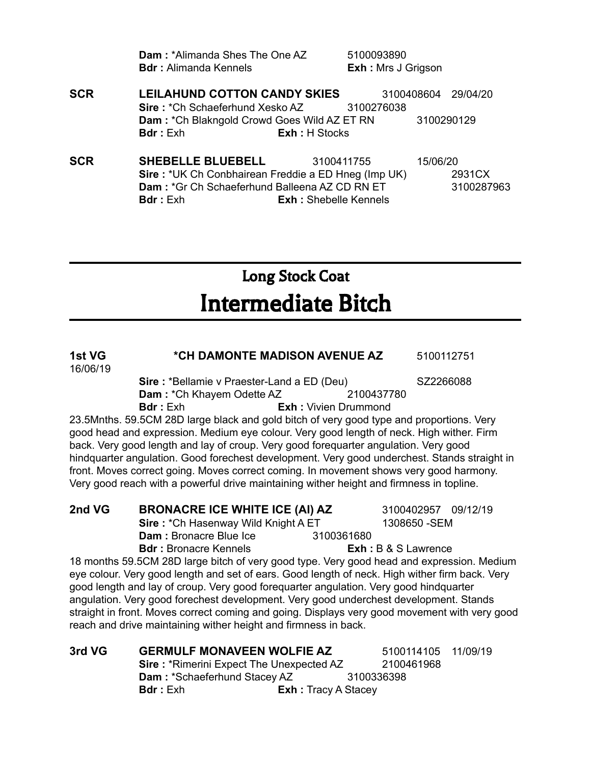|            | <b>Dam: *Alimanda Shes The One AZ</b><br><b>Bdr:</b> Alimanda Kennels | 5100093890<br>Exh : Mrs J Grigson |                     |
|------------|-----------------------------------------------------------------------|-----------------------------------|---------------------|
| <b>SCR</b> | <b>LEILAHUND COTTON CANDY SKIES</b>                                   |                                   | 3100408604 29/04/20 |
|            | <b>Sire: *Ch Schaeferhund Xesko AZ</b> 3100276038                     |                                   |                     |
|            | <b>Dam: *Ch Blakngold Crowd Goes Wild AZ ET RN</b>                    |                                   | 3100290129          |
|            | <b>Bdr</b> : Exh                                                      | <b>Exh: H Stocks</b>              |                     |
| <b>SCR</b> | <b>SHEBELLE BLUEBELL</b>                                              | 3100411755                        | 15/06/20            |
|            | Sire: *UK Ch Conbhairean Freddie a ED Hneg (Imp UK)                   |                                   | 2931CX              |
|            | Dam: *Gr Ch Schaeferhund Balleena AZ CD RN ET                         |                                   | 3100287963          |
|            | <b>Bdr</b> : Exh                                                      | <b>Exh: Shebelle Kennels</b>      |                     |

# Long Stock Coat Intermediate Bitch

| 1st VG<br>16/06/19 | *CH DAMONTE MADISON AVENUE AZ                                                                  |                             | 5100112751            |          |
|--------------------|------------------------------------------------------------------------------------------------|-----------------------------|-----------------------|----------|
|                    | Sire: *Bellamie v Praester-Land a ED (Deu)                                                     |                             | SZ2266088             |          |
|                    | <b>Dam: *Ch Khayem Odette AZ</b> 2100437780                                                    |                             |                       |          |
|                    | <b>Bdr</b> : Exh                                                                               | <b>Exh:</b> Vivien Drummond |                       |          |
|                    | 23.5Mnths. 59.5CM 28D large black and gold bitch of very good type and proportions. Very       |                             |                       |          |
|                    | good head and expression. Medium eye colour. Very good length of neck. High wither. Firm       |                             |                       |          |
|                    | back. Very good length and lay of croup. Very good forequarter angulation. Very good           |                             |                       |          |
|                    | hindquarter angulation. Good forechest development. Very good underchest. Stands straight in   |                             |                       |          |
|                    | front. Moves correct going. Moves correct coming. In movement shows very good harmony.         |                             |                       |          |
|                    | Very good reach with a powerful drive maintaining wither height and firmness in topline.       |                             |                       |          |
| 2nd VG             |                                                                                                |                             |                       |          |
|                    | <b>BRONACRE ICE WHITE ICE (AI) AZ</b>                                                          |                             | 3100402957 09/12/19   |          |
|                    | Sire: *Ch Hasenway Wild Knight A ET                                                            |                             | 1308650 - SEM         |          |
|                    | Dam: Bronacre Blue Ice 3100361680                                                              |                             |                       |          |
|                    | <b>Bdr:</b> Bronacre Kennels                                                                   |                             | $Exh: B & S$ Lawrence |          |
|                    | 18 months 59.5CM 28D large bitch of very good type. Very good head and expression. Medium      |                             |                       |          |
|                    | eye colour. Very good length and set of ears. Good length of neck. High wither firm back. Very |                             |                       |          |
|                    | good length and lay of croup. Very good forequarter angulation. Very good hindquarter          |                             |                       |          |
|                    | angulation. Very good forechest development. Very good underchest development. Stands          |                             |                       |          |
|                    | straight in front. Moves correct coming and going. Displays very good movement with very good  |                             |                       |          |
|                    | reach and drive maintaining wither height and firmness in back.                                |                             |                       |          |
| 3rd VG             | <b>GERMULF MONAVEEN WOLFIE AZ</b>                                                              |                             | 5100114105            | 11/09/19 |
|                    | <b>Sire: *Rimerini Expect The Unexpected AZ</b>                                                |                             | 2100461968            |          |
|                    | <b>Dam: *Schaeferhund Stacey AZ</b>                                                            | 3100336398                  |                       |          |
|                    | <b>Bdr</b> : Exh                                                                               | <b>Exh:</b> Tracy A Stacey  |                       |          |
|                    |                                                                                                |                             |                       |          |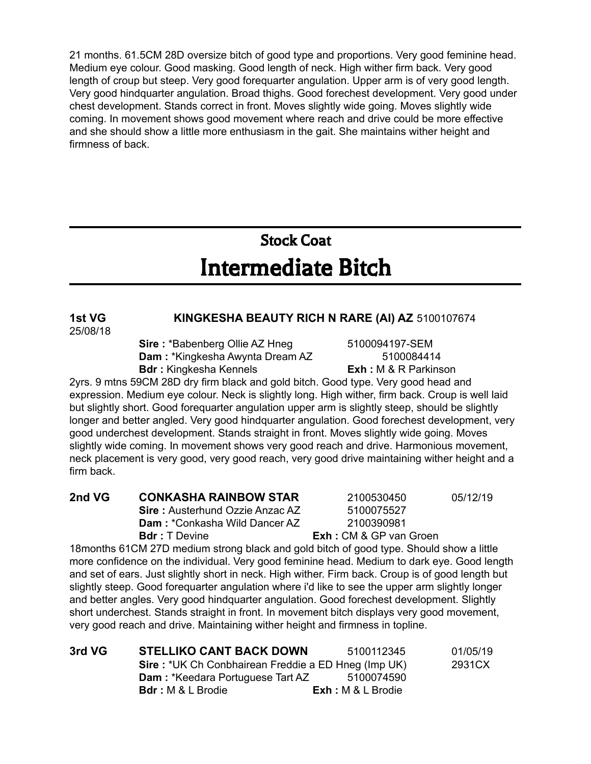21 months. 61.5CM 28D oversize bitch of good type and proportions. Very good feminine head. Medium eye colour. Good masking. Good length of neck. High wither firm back. Very good length of croup but steep. Very good forequarter angulation. Upper arm is of very good length. Very good hindquarter angulation. Broad thighs. Good forechest development. Very good under chest development. Stands correct in front. Moves slightly wide going. Moves slightly wide coming. In movement shows good movement where reach and drive could be more effective and she should show a little more enthusiasm in the gait. She maintains wither height and firmness of back.

## Stock Coat Intermediate Bitch

#### **1st VG KINGKESHA BEAUTY RICH N RARE (AI) AZ** 5100107674 25/08/18

**Sire** : \*Babenberg Ollie AZ Hneg 5100094197-SEM **Dam** : \*Kingkesha Awynta Dream AZ 5100084414 **Bdr :** Kingkesha Kennels **Exh :** M & R Parkinson

2yrs. 9 mtns 59CM 28D dry firm black and gold bitch. Good type. Very good head and expression. Medium eye colour. Neck is slightly long. High wither, firm back. Croup is well laid but slightly short. Good forequarter angulation upper arm is slightly steep, should be slightly longer and better angled. Very good hindquarter angulation. Good forechest development, very good underchest development. Stands straight in front. Moves slightly wide going. Moves slightly wide coming. In movement shows very good reach and drive. Harmonious movement, neck placement is very good, very good reach, very good drive maintaining wither height and a firm back.

| 2nd VG | <b>CONKASHA RAINBOW STAR</b>                                                                              | 2100530450                    | 05/12/19 |
|--------|-----------------------------------------------------------------------------------------------------------|-------------------------------|----------|
|        | <b>Sire:</b> Austerhund Ozzie Anzac AZ                                                                    | 5100075527                    |          |
|        | <b>Dam: *Conkasha Wild Dancer AZ</b>                                                                      | 2100390981                    |          |
|        | <b>Bdr</b> : T Devine                                                                                     | <b>Exh:</b> CM & GP van Groen |          |
|        | واللثالون يتمطو اواريموا كموسط امممكم واملئوا اوامو اوموم بامطاط ومرمونه مورياوموس 27D و24 OHA موانسمون و |                               |          |

18months 61CM 27D medium strong black and gold bitch of good type. Should show a little more confidence on the individual. Very good feminine head. Medium to dark eye. Good length and set of ears. Just slightly short in neck. High wither. Firm back. Croup is of good length but slightly steep. Good forequarter angulation where i'd like to see the upper arm slightly longer and better angles. Very good hindquarter angulation. Good forechest development. Slightly short underchest. Stands straight in front. In movement bitch displays very good movement, very good reach and drive. Maintaining wither height and firmness in topline.

| 3rd VG | <b>STELLIKO CANT BACK DOWN</b>                             | 5100112345         | 01/05/19 |
|--------|------------------------------------------------------------|--------------------|----------|
|        | <b>Sire: *UK Ch Conbhairean Freddie a ED Hneg (Imp UK)</b> |                    | 2931CX   |
|        | <b>Dam: *Keedara Portuguese Tart AZ</b>                    | 5100074590         |          |
|        | <b>Bdr</b> : M & L Brodie                                  | $Exh: M &L$ Brodie |          |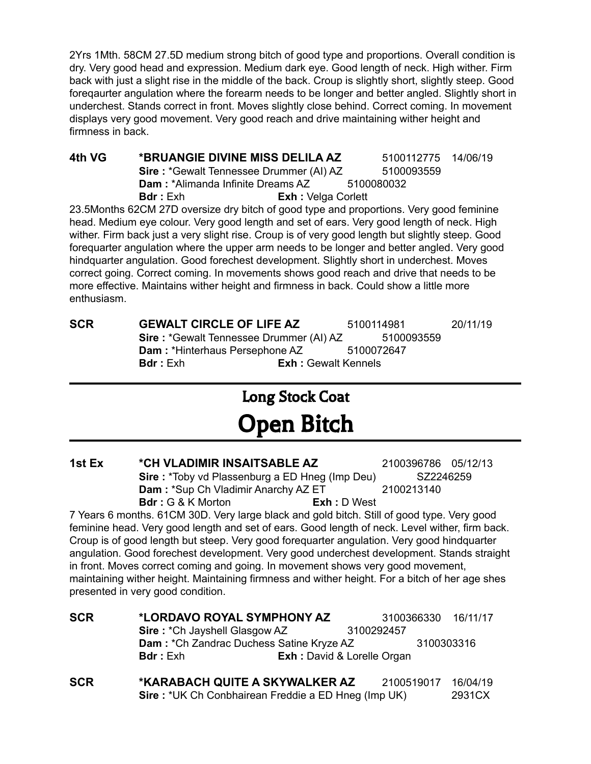2Yrs 1Mth. 58CM 27.5D medium strong bitch of good type and proportions. Overall condition is dry. Very good head and expression. Medium dark eye. Good length of neck. High wither. Firm back with just a slight rise in the middle of the back. Croup is slightly short, slightly steep. Good foreqaurter angulation where the forearm needs to be longer and better angled. Slightly short in underchest. Stands correct in front. Moves slightly close behind. Correct coming. In movement displays very good movement. Very good reach and drive maintaining wither height and firmness in back.

**4th VG \*BRUANGIE DIVINE MISS DELILA AZ** 5100112775 14/06/19 **Sire** : \*Gewalt Tennessee Drummer (AI) AZ 5100093559 **Dam** : \*Alimanda Infinite Dreams AZ 5100080032 **Bdr :** Exh **Exh :** Velga Corlett

23.5Months 62CM 27D oversize dry bitch of good type and proportions. Very good feminine head. Medium eye colour. Very good length and set of ears. Very good length of neck. High wither. Firm back just a very slight rise. Croup is of very good length but slightly steep. Good forequarter angulation where the upper arm needs to be longer and better angled. Very good hindquarter angulation. Good forechest development. Slightly short in underchest. Moves correct going. Correct coming. In movements shows good reach and drive that needs to be more effective. Maintains wither height and firmness in back. Could show a little more enthusiasm.

**SCR GEWALT CIRCLE OF LIFE AZ** 5100114981 20/11/19 **Sire** : \*Gewalt Tennessee Drummer (AI) AZ 5100093559 **Dam** : \*Hinterhaus Persephone AZ 5100072647 **Bdr :** Exh **Exh :** Gewalt Kennels

# Long Stock Coat Open Bitch

**1st Ex \*CH VLADIMIR INSAITSABLE AZ** 2100396786 05/12/13 **Sire** : \*Toby vd Plassenburg a ED Hneg (Imp Deu) SZ2246259 **Dam** : \*Sup Ch Vladimir Anarchy AZ ET 2100213140 **Bdr :** G & K Morton **Exh :** D West

7 Years 6 months. 61CM 30D. Very large black and gold bitch. Still of good type. Very good feminine head. Very good length and set of ears. Good length of neck. Level wither, firm back. Croup is of good length but steep. Very good forequarter angulation. Very good hindquarter angulation. Good forechest development. Very good underchest development. Stands straight in front. Moves correct coming and going. In movement shows very good movement, maintaining wither height. Maintaining firmness and wither height. For a bitch of her age shes presented in very good condition.

| <b>SCR</b> | *LORDAVO ROYAL SYMPHONY AZ                              |                                   | 3100366330 16/11/17 |          |
|------------|---------------------------------------------------------|-----------------------------------|---------------------|----------|
|            | Sire: *Ch Jayshell Glasgow AZ                           |                                   | 3100292457          |          |
|            | Dam: * Ch Zandrac Duchess Satine Kryze AZ<br>3100303316 |                                   |                     |          |
|            | <b>Bdr</b> : Exh                                        | <b>Exh:</b> David & Lorelle Organ |                     |          |
| <b>SCR</b> | *KARABACH QUITE A SKYWALKER AZ                          |                                   | 2100519017          | 16/04/19 |
|            | Sire: *UK Ch Conbhairean Freddie a ED Hneg (Imp UK)     |                                   |                     | 2931CX   |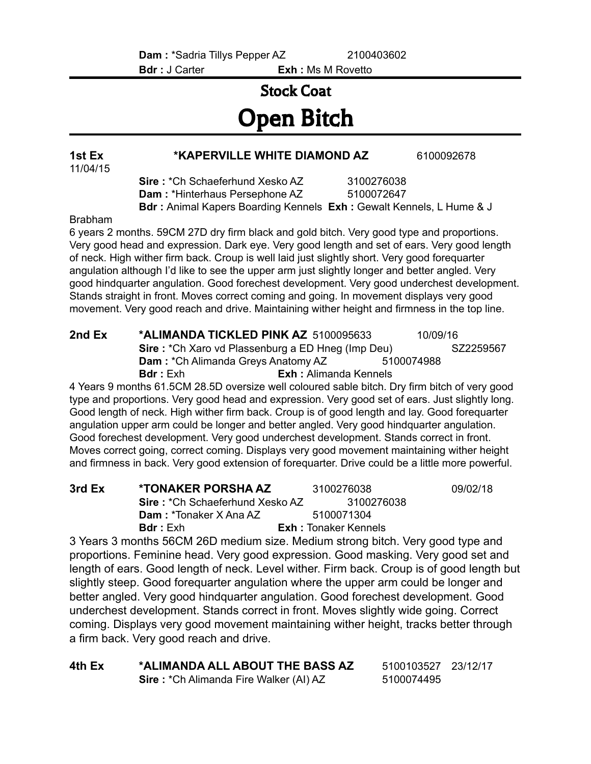**Bdr :** J Carter **Exh :** Ms M Rovetto

## Stock Coat Open Bitch

### **1st Ex \*KAPERVILLE WHITE DIAMOND AZ** 6100092678

**Sire :** \*Ch Schaeferhund Xesko AZ 3100276038 **Dam** : \*Hinterhaus Persephone AZ 5100072647 **Bdr :** Animal Kapers Boarding Kennels **Exh :** Gewalt Kennels, L Hume & J

Brabham

11/04/15

6 years 2 months. 59CM 27D dry firm black and gold bitch. Very good type and proportions. Very good head and expression. Dark eye. Very good length and set of ears. Very good length of neck. High wither firm back. Croup is well laid just slightly short. Very good forequarter angulation although I'd like to see the upper arm just slightly longer and better angled. Very good hindquarter angulation. Good forechest development. Very good underchest development. Stands straight in front. Moves correct coming and going. In movement displays very good movement. Very good reach and drive. Maintaining wither height and firmness in the top line.

**2nd Ex \*ALIMANDA TICKLED PINK AZ** 5100095633 10/09/16 **Sire** : \*Ch Xaro vd Plassenburg a ED Hneg (Imp Deu) SZ2259567 **Dam** : \*Ch Alimanda Greys Anatomy AZ 5100074988 **Bdr :** Exh **Exh :** Alimanda Kennels

4 Years 9 months 61.5CM 28.5D oversize well coloured sable bitch. Dry firm bitch of very good type and proportions. Very good head and expression. Very good set of ears. Just slightly long. Good length of neck. High wither firm back. Croup is of good length and lay. Good forequarter angulation upper arm could be longer and better angled. Very good hindquarter angulation. Good forechest development. Very good underchest development. Stands correct in front. Moves correct going, correct coming. Displays very good movement maintaining wither height and firmness in back. Very good extension of forequarter. Drive could be a little more powerful.

| 3rd Ex | *TONAKER PORSHA AZ                     | 3100276038                  | 09/02/18 |
|--------|----------------------------------------|-----------------------------|----------|
|        | <b>Sire:</b> *Ch Schaeferhund Xesko AZ | 3100276038                  |          |
|        | <b>Dam: *Tonaker X Ana AZ</b>          | 5100071304                  |          |
|        | <b>Bdr</b> : Exh                       | <b>Exh:</b> Tonaker Kennels |          |

3 Years 3 months 56CM 26D medium size. Medium strong bitch. Very good type and proportions. Feminine head. Very good expression. Good masking. Very good set and length of ears. Good length of neck. Level wither. Firm back. Croup is of good length but slightly steep. Good forequarter angulation where the upper arm could be longer and better angled. Very good hindquarter angulation. Good forechest development. Good underchest development. Stands correct in front. Moves slightly wide going. Correct coming. Displays very good movement maintaining wither height, tracks better through a firm back. Very good reach and drive.

| 4th Ex | *ALIMANDA ALL ABOUT THE BASS AZ               | 5100103527 23/12/17 |  |
|--------|-----------------------------------------------|---------------------|--|
|        | <b>Sire: *Ch Alimanda Fire Walker (AI) AZ</b> | 5100074495          |  |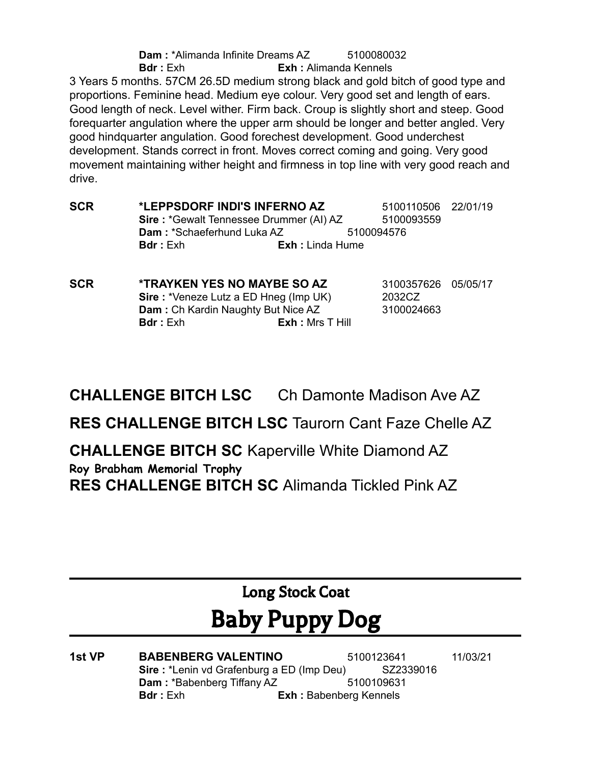**Dam** : \*Alimanda Infinite Dreams AZ 5100080032 **Bdr :** Exh **Exh :** Alimanda Kennels 3 Years 5 months. 57CM 26.5D medium strong black and gold bitch of good type and proportions. Feminine head. Medium eye colour. Very good set and length of ears. Good length of neck. Level wither. Firm back. Croup is slightly short and steep. Good forequarter angulation where the upper arm should be longer and better angled. Very good hindquarter angulation. Good forechest development. Good underchest development. Stands correct in front. Moves correct coming and going. Very good movement maintaining wither height and firmness in top line with very good reach and drive.

- **SCR \*LEPPSDORF INDI'S INFERNO AZ** 5100110506 22/01/19 **Sire** : \*Gewalt Tennessee Drummer (AI) AZ 5100093559 **Dam** : \*Schaeferhund Luka AZ 5100094576 **Bdr :** Exh **Exh :** Linda Hume
- **SCR \*TRAYKEN YES NO MAYBE SO AZ** 3100357626 05/05/17 **Sire :** \*Veneze Lutz a ED Hneg (Imp UK) 2032CZ **Dam** : Ch Kardin Naughty But Nice AZ 3100024663 **Bdr :** Exh **Exh :** Mrs T Hill

**CHALLENGE BITCH LSC** Ch Damonte Madison Ave AZ

**RES CHALLENGE BITCH LSC** Taurorn Cant Faze Chelle AZ

**CHALLENGE BITCH SC** Kaperville White Diamond AZ **Roy Brabham Memorial Trophy RES CHALLENGE BITCH SC** Alimanda Tickled Pink AZ

> Long Stock Coat Baby Puppy Dog

**1st VP BABENBERG VALENTINO** 5100123641 11/03/21 **Sire** : \*Lenin vd Grafenburg a ED (Imp Deu) SZ2339016 **Dam: \*Babenberg Tiffany AZ 5100109631 Bdr :** Exh **Exh :** Babenberg Kennels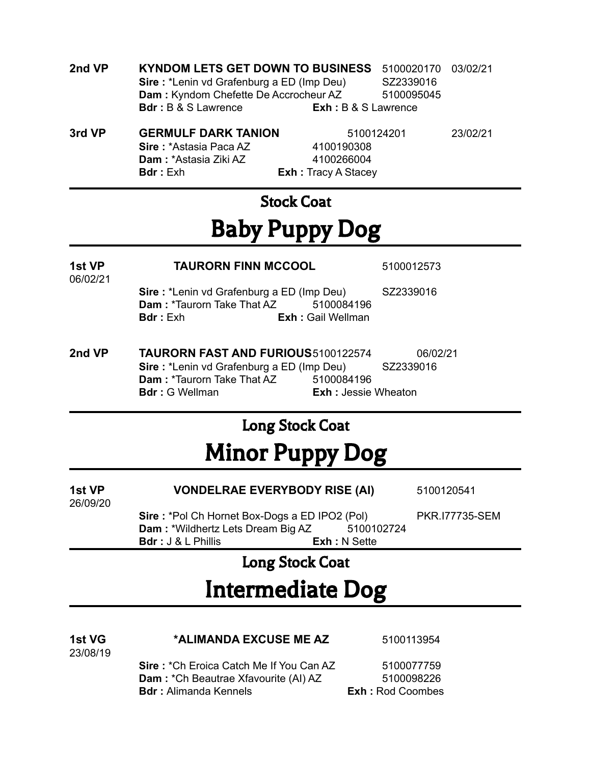| 2nd VP | KYNDOM LETS GET DOWN TO BUSINESS 5100020170 03/02/21 |                       |            |  |
|--------|------------------------------------------------------|-----------------------|------------|--|
|        | <b>Sire: *Lenin vd Grafenburg a ED (Imp Deu)</b>     |                       | SZ2339016  |  |
|        | <b>Dam:</b> Kyndom Chefette De Accrocheur AZ         |                       | 5100095045 |  |
|        | <b>Bdr</b> : B & S Lawrence                          | $Exh: B & S$ Lawrence |            |  |
|        |                                                      |                       |            |  |

| 3rd VP. | <b>GERMULF DARK TANION</b>    |       |
|---------|-------------------------------|-------|
|         | <b>Sire: *Astasia Paca AZ</b> |       |
|         | <b>Dam: *Astasia Ziki AZ</b>  |       |
|         | <b>Bdr</b> : Exh              | Exh:1 |
|         |                               |       |

**K TANION** 5100124201 23/02/21 **Sire :** \*Astasia Paca AZ 4100190308 **Dam :** \*Astasia Ziki AZ 4100266004 **Boracy A Stacey** 

### Stock Coat

# Baby Puppy Dog

| 1st VP<br>06/02/21 | <b>TAURORN FINN MCCOOL</b>                                                                                |                                          | 5100012573            |  |
|--------------------|-----------------------------------------------------------------------------------------------------------|------------------------------------------|-----------------------|--|
|                    | <b>Sire: *Lenin vd Grafenburg a ED (Imp Deu)</b><br><b>Dam: *Taurorn Take That AZ</b><br><b>Bdr</b> : Exh | 5100084196<br><b>Exh: Gail Wellman</b>   | SZ2339016             |  |
| 2nd VP             | <b>TAURORN FAST AND FURIOUS5100122574</b><br><b>Sire: *Lenin vd Grafenburg a ED (Imp Deu)</b>             |                                          | 06/02/21<br>SZ2339016 |  |
|                    | <b>Dam: *Taurorn Take That AZ</b><br><b>Bdr</b> : G Wellman                                               | 5100084196<br><b>Exh: Jessie Wheaton</b> |                       |  |

### Long Stock Coat

# Minor Puppy Dog

| 1st VP<br>26/09/20 | <b>VONDELRAE EVERYBODY RISE (AI)</b>          |                      | 5100120541            |
|--------------------|-----------------------------------------------|----------------------|-----------------------|
|                    | Sire: *Pol Ch Hornet Box-Dogs a ED IPO2 (Pol) |                      | <b>PKR.I77735-SEM</b> |
|                    | <b>Dam: *Wildhertz Lets Dream Big AZ</b>      | 5100102724           |                       |
|                    | $Bdr: J &L$ Phillis                           | <b>Exh</b> : N Sette |                       |

### Long Stock Coat

# Intermediate Dog

| 1st VG<br>23/08/19 | *ALIMANDA EXCUSE ME AZ                                                                                                 | 5100113954                                          |
|--------------------|------------------------------------------------------------------------------------------------------------------------|-----------------------------------------------------|
|                    | <b>Sire:</b> *Ch Eroica Catch Me If You Can AZ<br>Dam: *Ch Beautrae Xfavourite (AI) AZ<br><b>Bdr:</b> Alimanda Kennels | 5100077759<br>5100098226<br><b>Exh:</b> Rod Coombes |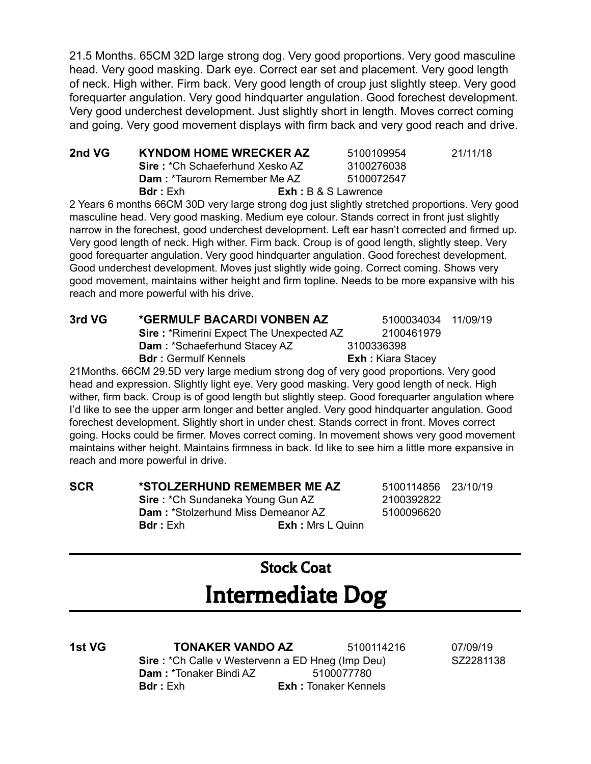21.5 Months. 65CM 32D large strong dog. Very good proportions. Very good masculine head. Very good masking. Dark eye. Correct ear set and placement. Very good length of neck. High wither. Firm back. Very good length of croup just slightly steep. Very good forequarter angulation. Very good hindquarter angulation. Good forechest development. Very good underchest development. Just slightly short in length. Moves correct coming and going. Very good movement displays with firm back and very good reach and drive.

| 2nd VG | KYNDOM HOME WRECKER AZ                 | 5100109954                  | 21/11/18 |
|--------|----------------------------------------|-----------------------------|----------|
|        | <b>Sire: *Ch Schaeferhund Xesko AZ</b> | 3100276038                  |          |
|        | <b>Dam: *Taurorn Remember Me AZ</b>    | 5100072547                  |          |
|        | <b>Bdr</b> : Exh                       | <b>Exh</b> : B & S Lawrence |          |

2 Years 6 months 66CM 30D very large strong dog just slightly stretched proportions. Very good masculine head. Very good masking. Medium eye colour. Stands correct in front just slightly narrow in the forechest, good underchest development. Left ear hasn't corrected and firmed up. Very good length of neck. High wither. Firm back. Croup is of good length, slightly steep. Very good forequarter angulation. Very good hindquarter angulation. Good forechest development. Good underchest development. Moves just slightly wide going. Correct coming. Shows very good movement, maintains wither height and firm topline. Needs to be more expansive with his reach and more powerful with his drive.

| 3rd VG | *GERMULF BACARDI VONBEN AZ                                                              | 5100034034 11/09/19      |  |
|--------|-----------------------------------------------------------------------------------------|--------------------------|--|
|        | <b>Sire: *Rimerini Expect The Unexpected AZ</b>                                         | 2100461979               |  |
|        | <b>Dam: *Schaeferhund Stacey AZ</b>                                                     | 3100336398               |  |
|        | <b>Bdr: Germulf Kennels</b>                                                             | <b>Exh:</b> Kiara Stacey |  |
|        | 21 Months. 66 CM 29.5D very large medium strong dog of very good proportions. Very good |                          |  |
|        |                                                                                         |                          |  |

head and expression. Slightly light eye. Very good masking. Very good length of neck. High wither, firm back. Croup is of good length but slightly steep. Good forequarter angulation where I'd like to see the upper arm longer and better angled. Very good hindquarter angulation. Good forechest development. Slightly short in under chest. Stands correct in front. Moves correct going. Hocks could be firmer. Moves correct coming. In movement shows very good movement maintains wither height. Maintains firmness in back. Id like to see him a little more expansive in reach and more powerful in drive.

**SCR \*STOLZERHUND REMEMBER ME AZ** 5100114856 23/10/19 **Sire** : \*Ch Sundaneka Young Gun AZ 2100392822 **Dam:** \*Stolzerhund Miss Demeanor AZ 5100096620 **Bdr :** Exh **Exh :** Mrs L Quinn

## Stock Coat Intermediate Dog

**1st VG TONAKER VANDO AZ** 5100114216 07/09/19 **Sire** : \*Ch Calle v Westervenn a ED Hneg (Imp Deu) SZ2281138 **Dam** : \*Tonaker Bindi AZ 5100077780 **Bdr :** Exh **Exh :** Tonaker Kennels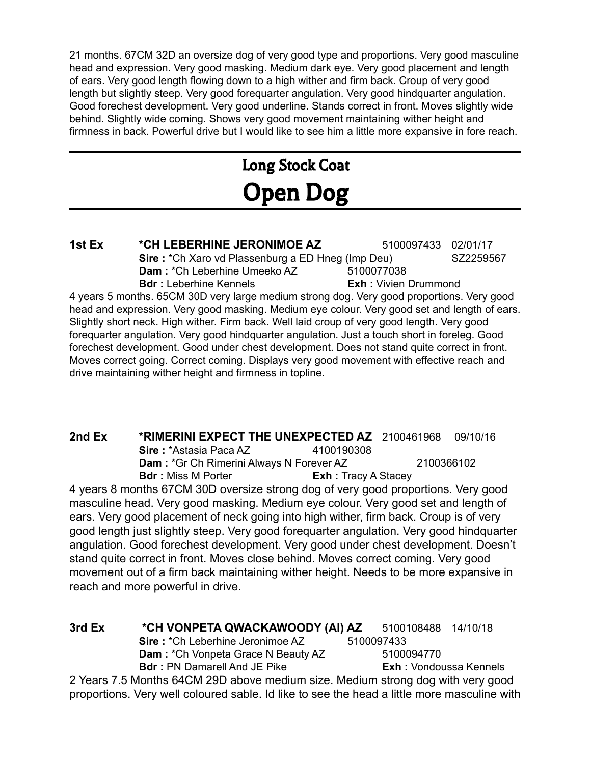21 months. 67CM 32D an oversize dog of very good type and proportions. Very good masculine head and expression. Very good masking. Medium dark eye. Very good placement and length of ears. Very good length flowing down to a high wither and firm back. Croup of very good length but slightly steep. Very good forequarter angulation. Very good hindquarter angulation. Good forechest development. Very good underline. Stands correct in front. Moves slightly wide behind. Slightly wide coming. Shows very good movement maintaining wither height and firmness in back. Powerful drive but I would like to see him a little more expansive in fore reach.

# Long Stock Coat Open Dog

**1st Ex \*CH LEBERHINE JERONIMOE AZ** 5100097433 02/01/17 **Sire** : \*Ch Xaro vd Plassenburg a ED Hneg (Imp Deu) SZ2259567 **Dam** : \*Ch Leberhine Umeeko AZ 5100077038 **Bdr :** Leberhine Kennels **Exh :** Vivien Drummond 4 years 5 months. 65CM 30D very large medium strong dog. Very good proportions. Very good

head and expression. Very good masking. Medium eye colour. Very good set and length of ears. Slightly short neck. High wither. Firm back. Well laid croup of very good length. Very good forequarter angulation. Very good hindquarter angulation. Just a touch short in foreleg. Good forechest development. Good under chest development. Does not stand quite correct in front. Moves correct going. Correct coming. Displays very good movement with effective reach and drive maintaining wither height and firmness in topline.

**2nd Ex \*RIMERINI EXPECT THE UNEXPECTED AZ** 2100461968 09/10/16 **Sire** : \*Astasia Paca AZ 4100190308 **Dam** : \*Gr Ch Rimerini Always N Forever AZ 2100366102 **Bdr :** Miss M Porter **Exh :** Tracy A Stacey

4 years 8 months 67CM 30D oversize strong dog of very good proportions. Very good masculine head. Very good masking. Medium eye colour. Very good set and length of ears. Very good placement of neck going into high wither, firm back. Croup is of very good length just slightly steep. Very good forequarter angulation. Very good hindquarter angulation. Good forechest development. Very good under chest development. Doesn't stand quite correct in front. Moves close behind. Moves correct coming. Very good movement out of a firm back maintaining wither height. Needs to be more expansive in reach and more powerful in drive.

**3rd Ex \*CH VONPETA QWACKAWOODY (AI) AZ** 5100108488 14/10/18 **Sire** : \*Ch Leberhine Jeronimoe AZ 5100097433 **Dam** : \*Ch Vonpeta Grace N Beauty AZ 5100094770 **Bdr** : PN Damarell And JE Pike **Exh Exh :** Vondoussa Kennels 2 Years 7.5 Months 64CM 29D above medium size. Medium strong dog with very good proportions. Very well coloured sable. Id like to see the head a little more masculine with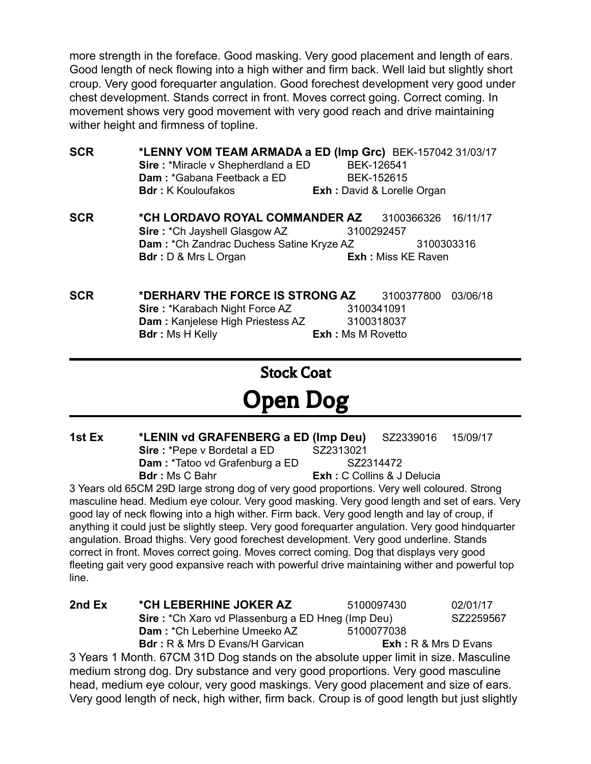more strength in the foreface. Good masking. Very good placement and length of ears. Good length of neck flowing into a high wither and firm back. Well laid but slightly short croup. Very good forequarter angulation. Good forechest development very good under chest development. Stands correct in front. Moves correct going. Correct coming. In movement shows very good movement with very good reach and drive maintaining wither height and firmness of topline.

| <b>SCR</b> | *LENNY VOM TEAM ARMADA a ED (Imp Grc) BEK-157042 31/03/17<br>Sire: *Miracle v Shepherdland a ED<br>Dam: *Gabana Feetback a ED |                                                         | BEK-126541<br>BEK-152615          |          |  |
|------------|-------------------------------------------------------------------------------------------------------------------------------|---------------------------------------------------------|-----------------------------------|----------|--|
|            | <b>Bdr:</b> K Kouloufakos                                                                                                     |                                                         | <b>Exh:</b> David & Lorelle Organ |          |  |
| <b>SCR</b> | *CH LORDAVO ROYAL COMMANDER AZ                                                                                                |                                                         | 3100366326                        | 16/11/17 |  |
|            | Sire: * Ch Jayshell Glasgow AZ                                                                                                |                                                         | 3100292457                        |          |  |
|            |                                                                                                                               | Dam: * Ch Zandrac Duchess Satine Kryze AZ<br>3100303316 |                                   |          |  |
|            | <b>Bdr</b> : D & Mrs L Organ                                                                                                  | <b>Exh:</b> Miss KE Raven                               |                                   |          |  |
|            |                                                                                                                               |                                                         |                                   |          |  |
|            |                                                                                                                               |                                                         |                                   |          |  |

**SCR \*DERHARV THE FORCE IS STRONG AZ** 3100377800 03/06/18 **Sire :** \*Karabach Night Force AZ 3100341091 **Dam** : Kanjelese High Priestess AZ 3100318037 **Bdr :** Ms H Kelly **Exh :** Ms M Rovetto

Stock Coat

# Open Dog

**1st Ex \*LENIN vd GRAFENBERG a ED (Imp Deu)** SZ2339016 15/09/17 **Sire** : \*Pepe v Bordetal a ED SZ2313021 **Dam** : \*Tatoo vd Grafenburg a ED SZ2314472 **Bdr :** Ms C Bahr **Exh :** C Collins & J Delucia

3 Years old 65CM 29D large strong dog of very good proportions. Very well coloured. Strong masculine head. Medium eye colour. Very good masking. Very good length and set of ears. Very good lay of neck flowing into a high wither. Firm back. Very good length and lay of croup, if anything it could just be slightly steep. Very good forequarter angulation. Very good hindquarter angulation. Broad thighs. Very good forechest development. Very good underline. Stands correct in front. Moves correct going. Moves correct coming. Dog that displays very good fleeting gait very good expansive reach with powerful drive maintaining wither and powerful top line.

| 2nd Ex | *CH LEBERHINE JOKER AZ                                   | 5100097430 | 02/01/17                                                     |
|--------|----------------------------------------------------------|------------|--------------------------------------------------------------|
|        | <b>Sire:</b> *Ch Xaro vd Plassenburg a ED Hneg (Imp Deu) |            | SZ2259567                                                    |
|        | <b>Dam: *Ch Leberhine Umeeko AZ</b>                      | 5100077038 |                                                              |
|        | <b>Bdr:</b> R & Mrs D Evans/H Garvican                   |            | $\mathsf{Exh} : \mathsf{R} \& \mathsf{Mrs} \mathsf{D}$ Evans |
|        |                                                          |            |                                                              |

3 Years 1 Month. 67CM 31D Dog stands on the absolute upper limit in size. Masculine medium strong dog. Dry substance and very good proportions. Very good masculine head, medium eye colour, very good maskings. Very good placement and size of ears. Very good length of neck, high wither, firm back. Croup is of good length but just slightly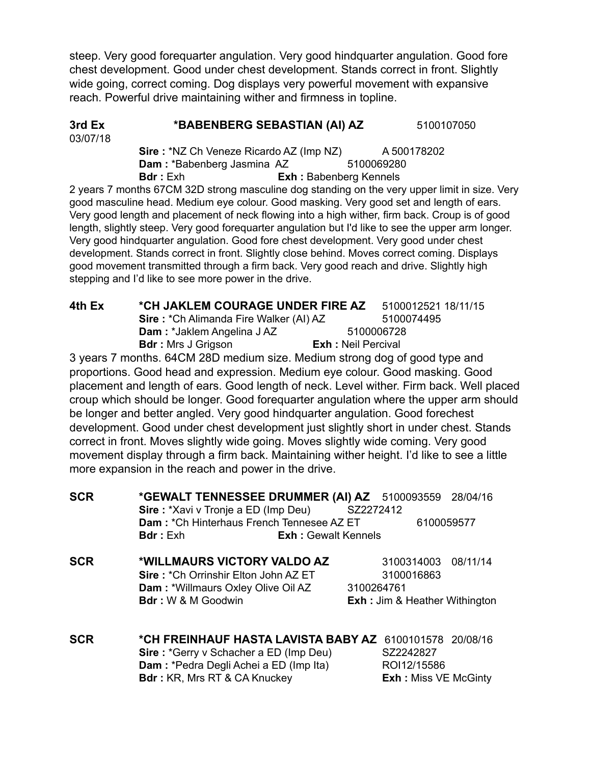steep. Very good forequarter angulation. Very good hindquarter angulation. Good fore chest development. Good under chest development. Stands correct in front. Slightly wide going, correct coming. Dog displays very powerful movement with expansive reach. Powerful drive maintaining wither and firmness in topline.

#### **3rd Ex \*BABENBERG SEBASTIAN (AI) AZ** 5100107050 03/07/18

**Sire** : \*NZ Ch Veneze Ricardo AZ (Imp NZ) A 500178202 **Dam** : \*Babenberg Jasmina AZ 5100069280 **Bdr :** Exh **Exh :** Babenberg Kennels

2 years 7 months 67CM 32D strong masculine dog standing on the very upper limit in size. Very good masculine head. Medium eye colour. Good masking. Very good set and length of ears. Very good length and placement of neck flowing into a high wither, firm back. Croup is of good length, slightly steep. Very good forequarter angulation but I'd like to see the upper arm longer. Very good hindquarter angulation. Good fore chest development. Very good under chest development. Stands correct in front. Slightly close behind. Moves correct coming. Displays good movement transmitted through a firm back. Very good reach and drive. Slightly high stepping and I'd like to see more power in the drive.

| 4th Ex | *CH JAKLEM COURAGE UNDER FIRE AZ              |                           | 5100012521 18/11/15 |  |
|--------|-----------------------------------------------|---------------------------|---------------------|--|
|        | <b>Sire: *Ch Alimanda Fire Walker (AI) AZ</b> |                           | 5100074495          |  |
|        | <b>Dam: *Jaklem Angelina J AZ</b>             | 5100006728                |                     |  |
|        | <b>Bdr</b> : Mrs J Grigson                    | <b>Exh:</b> Neil Percival |                     |  |
|        |                                               |                           |                     |  |

3 years 7 months. 64CM 28D medium size. Medium strong dog of good type and proportions. Good head and expression. Medium eye colour. Good masking. Good placement and length of ears. Good length of neck. Level wither. Firm back. Well placed croup which should be longer. Good forequarter angulation where the upper arm should be longer and better angled. Very good hindquarter angulation. Good forechest development. Good under chest development just slightly short in under chest. Stands correct in front. Moves slightly wide going. Moves slightly wide coming. Very good movement display through a firm back. Maintaining wither height. I'd like to see a little more expansion in the reach and power in the drive.

| <b>SCR</b> | *GEWALT TENNESSEE DRUMMER (AI) AZ 5100093559 28/04/16      |            |                                          |          |  |
|------------|------------------------------------------------------------|------------|------------------------------------------|----------|--|
|            | <b>Sire:</b> *Xavi v Tronje a ED (Imp Deu)                 | SZ2272412  |                                          |          |  |
|            | Dam: *Ch Hinterhaus French Tennesee AZ ET                  |            | 6100059577                               |          |  |
|            | <b>Bdr</b> : Exh<br><b>Exh:</b> Gewalt Kennels             |            |                                          |          |  |
| <b>SCR</b> | *WILLMAURS VICTORY VALDO AZ                                |            | 3100314003                               | 08/11/14 |  |
|            | <b>Sire: *Ch Orrinshir Elton John AZ ET</b>                |            | 3100016863                               |          |  |
|            | Dam: *Willmaurs Oxley Olive Oil AZ                         | 3100264761 |                                          |          |  |
|            | <b>Bdr</b> : W & M Goodwin                                 |            | <b>Exh: Jim &amp; Heather Withington</b> |          |  |
| <b>SCR</b> | *CH FREINHAUF HASTA LAVISTA BABY AZ<br>6100101578 20/08/16 |            |                                          |          |  |
|            | Sire: *Gerry v Schacher a ED (Imp Deu)                     |            | SZ2242827                                |          |  |
|            | Dam: *Pedra Degli Achei a ED (Imp Ita)                     |            | ROI12/15586                              |          |  |
|            | <b>Bdr:</b> KR, Mrs RT & CA Knuckey                        |            | <b>Exh: Miss VE McGinty</b>              |          |  |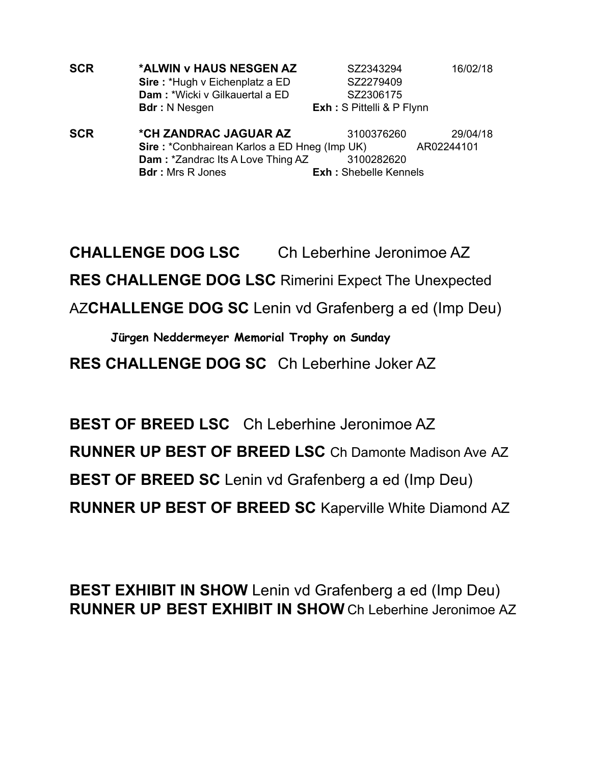| <b>SCR</b> | *ALWIN v HAUS NESGEN AZ               | SZ2343294                        | 16/02/18 |
|------------|---------------------------------------|----------------------------------|----------|
|            | <b>Sire: *Hugh v Eichenplatz a ED</b> | SZ2279409                        |          |
|            | <b>Dam:</b> *Wicki v Gilkauertal a ED | SZ2306175                        |          |
|            | <b>Bdr</b> : N Nesgen                 | <b>Exh:</b> S Pittelli & P Flynn |          |

**SCR \*CH ZANDRAC JAGUAR AZ** 3100376260 29/04/18 **Sire** : \*Conbhairean Karlos a ED Hneg (Imp UK) AR02244101 **Dam** : \*Zandrac Its A Love Thing AZ 3100282620 **Bdr :** Mrs R Jones **Exh :** Shebelle Kennels

**CHALLENGE DOG LSC** Ch Leberhine Jeronimoe AZ **RES CHALLENGE DOG LSC** Rimerini Expect The Unexpected

AZ**CHALLENGE DOG SC** Lenin vd Grafenberg a ed (Imp Deu)

**Jürgen Neddermeyer Memorial Trophy on Sunday**

**RES CHALLENGE DOG SC** Ch Leberhine Joker AZ

**BEST OF BREED LSC** Ch Leberhine Jeronimoe AZ **RUNNER UP BEST OF BREED LSC** Ch Damonte Madison Ave AZ **BEST OF BREED SC** Lenin vd Grafenberg a ed (Imp Deu) **RUNNER UP BEST OF BREED SC** Kaperville White Diamond AZ

**BEST EXHIBIT IN SHOW** Lenin vd Grafenberg a ed (Imp Deu) **RUNNER UP BEST EXHIBIT IN SHOW** Ch Leberhine Jeronimoe AZ